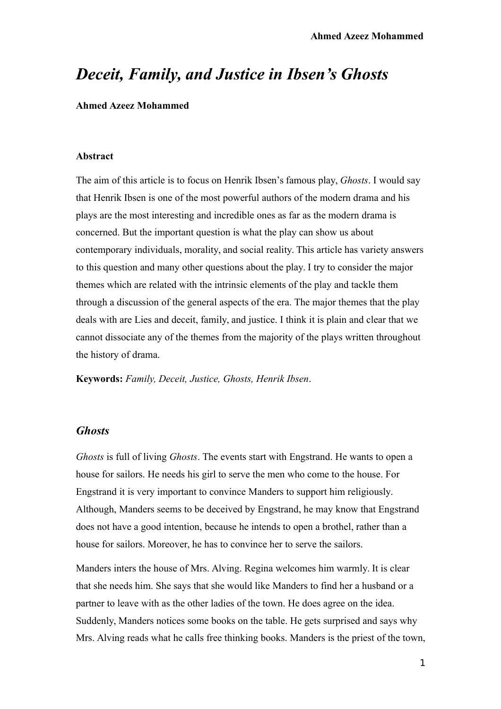# *Deceit, Family, and Justice in Ibsen's Ghosts*

**Ahmed Azeez Mohammed**

#### **Abstract**

The aim of this article is to focus on Henrik Ibsen's famous play, *Ghosts*. I would say that Henrik Ibsen is one of the most powerful authors of the modern drama and his plays are the most interesting and incredible ones as far as the modern drama is concerned. But the important question is what the play can show us about contemporary individuals, morality, and social reality. This article has variety answers to this question and many other questions about the play. I try to consider the major themes which are related with the intrinsic elements of the play and tackle them through a discussion of the general aspects of the era. The major themes that the play deals with are Lies and deceit, family, and justice. I think it is plain and clear that we cannot dissociate any of the themes from the majority of the plays written throughout the history of drama.

**Keywords:** *Family, Deceit, Justice, Ghosts, Henrik Ibsen*.

## *Ghosts*

*Ghosts* is full of living *Ghosts*. The events start with Engstrand. He wants to open a house for sailors. He needs his girl to serve the men who come to the house. For Engstrand it is very important to convince Manders to support him religiously. Although, Manders seems to be deceived by Engstrand, he may know that Engstrand does not have a good intention, because he intends to open a brothel, rather than a house for sailors. Moreover, he has to convince her to serve the sailors.

Manders inters the house of Mrs. Alving. Regina welcomes him warmly. It is clear that she needs him. She says that she would like Manders to find her a husband or a partner to leave with as the other ladies of the town. He does agree on the idea. Suddenly, Manders notices some books on the table. He gets surprised and says why Mrs. Alving reads what he calls free thinking books. Manders is the priest of the town,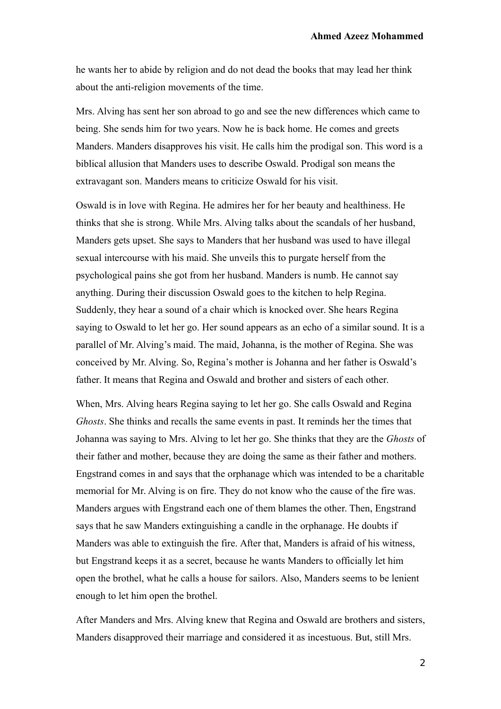he wants her to abide by religion and do not dead the books that may lead her think about the anti-religion movements of the time.

Mrs. Alving has sent her son abroad to go and see the new differences which came to being. She sends him for two years. Now he is back home. He comes and greets Manders. Manders disapproves his visit. He calls him the prodigal son. This word is a biblical allusion that Manders uses to describe Oswald. Prodigal son means the extravagant son. Manders means to criticize Oswald for his visit.

Oswald is in love with Regina. He admires her for her beauty and healthiness. He thinks that she is strong. While Mrs. Alving talks about the scandals of her husband, Manders gets upset. She says to Manders that her husband was used to have illegal sexual intercourse with his maid. She unveils this to purgate herself from the psychological pains she got from her husband. Manders is numb. He cannot say anything. During their discussion Oswald goes to the kitchen to help Regina. Suddenly, they hear a sound of a chair which is knocked over. She hears Regina saying to Oswald to let her go. Her sound appears as an echo of a similar sound. It is a parallel of Mr. Alving's maid. The maid, Johanna, is the mother of Regina. She was conceived by Mr. Alving. So, Regina's mother is Johanna and her father is Oswald's father. It means that Regina and Oswald and brother and sisters of each other.

When, Mrs. Alving hears Regina saying to let her go. She calls Oswald and Regina *Ghosts*. She thinks and recalls the same events in past. It reminds her the times that Johanna was saying to Mrs. Alving to let her go. She thinks that they are the *Ghosts* of their father and mother, because they are doing the same as their father and mothers. Engstrand comes in and says that the orphanage which was intended to be a charitable memorial for Mr. Alving is on fire. They do not know who the cause of the fire was. Manders argues with Engstrand each one of them blames the other. Then, Engstrand says that he saw Manders extinguishing a candle in the orphanage. He doubts if Manders was able to extinguish the fire. After that, Manders is afraid of his witness, but Engstrand keeps it as a secret, because he wants Manders to officially let him open the brothel, what he calls a house for sailors. Also, Manders seems to be lenient enough to let him open the brothel.

After Manders and Mrs. Alving knew that Regina and Oswald are brothers and sisters, Manders disapproved their marriage and considered it as incestuous. But, still Mrs.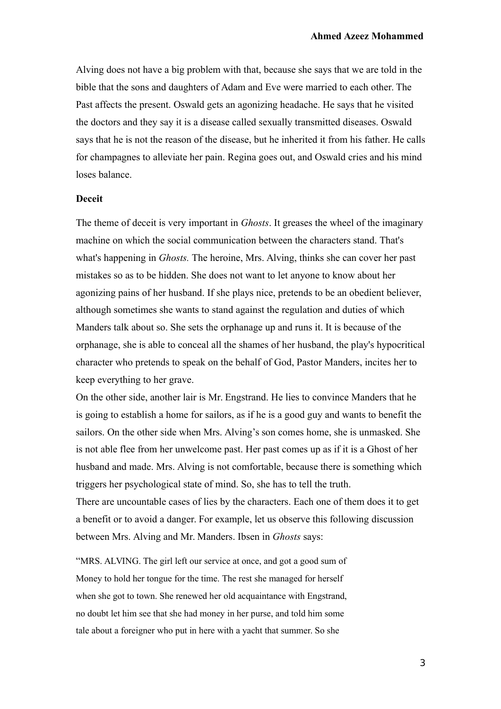Alving does not have a big problem with that, because she says that we are told in the bible that the sons and daughters of Adam and Eve were married to each other. The Past affects the present. Oswald gets an agonizing headache. He says that he visited the doctors and they say it is a disease called sexually transmitted diseases. Oswald says that he is not the reason of the disease, but he inherited it from his father. He calls for champagnes to alleviate her pain. Regina goes out, and Oswald cries and his mind loses balance.

### **Deceit**

The theme of deceit is very important in *Ghosts*. It greases the wheel of the imaginary machine on which the social communication between the characters stand. That's what's happening in *Ghosts.* The heroine, Mrs. Alving, thinks she can cover her past mistakes so as to be hidden. She does not want to let anyone to know about her agonizing pains of her husband. If she plays nice, pretends to be an obedient believer, although sometimes she wants to stand against the regulation and duties of which Manders talk about so. She sets the orphanage up and runs it. It is because of the orphanage, she is able to conceal all the shames of her husband, the play's hypocritical character who pretends to speak on the behalf of God, Pastor Manders, incites her to keep everything to her grave.

On the other side, another lair is Mr. Engstrand. He lies to convince Manders that he is going to establish a home for sailors, as if he is a good guy and wants to benefit the sailors. On the other side when Mrs. Alving's son comes home, she is unmasked. She is not able flee from her unwelcome past. Her past comes up as if it is a Ghost of her husband and made. Mrs. Alving is not comfortable, because there is something which triggers her psychological state of mind. So, she has to tell the truth.

There are uncountable cases of lies by the characters. Each one of them does it to get a benefit or to avoid a danger. For example, let us observe this following discussion between Mrs. Alving and Mr. Manders. Ibsen in *Ghosts* says:

"MRS. ALVING. The girl left our service at once, and got a good sum of Money to hold her tongue for the time. The rest she managed for herself when she got to town. She renewed her old acquaintance with Engstrand, no doubt let him see that she had money in her purse, and told him some tale about a foreigner who put in here with a yacht that summer. So she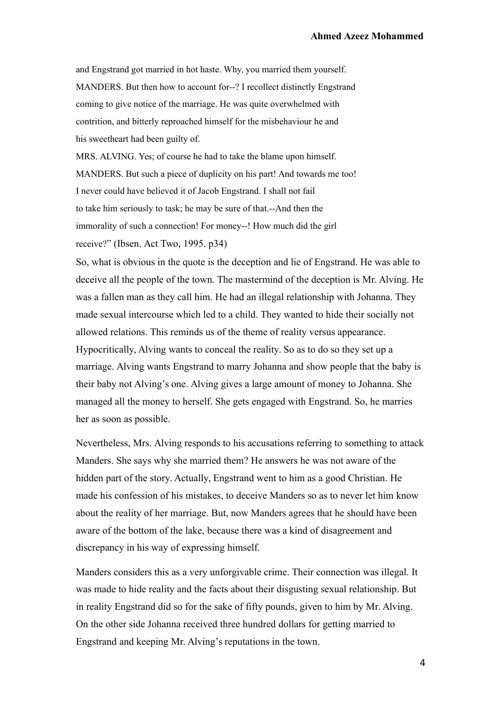and Engstrand got married in hot haste. Why, you married them yourself. MANDERS. But then how to account for--? I recollect distinctly Engstrand coming to give notice of the marriage. He was quite overwhelmed with contrition, and bitterly reproached himself for the misbehaviour he and his sweetheart had been guilty of.

MRS. ALVING. Yes; of course he had to take the blame upon himself. MANDERS. But such a piece of duplicity on his part! And towards me too! I never could have believed it of Jacob Engstrand. I shall not fail to take him seriously to task; he may be sure of that.--And then the immorality of such a connection! For money--! How much did the girl receive?" (Ibsen. Act Two, 1995. p34)

So, what is obvious in the quote is the deception and lie of Engstrand. He was able to deceive all the people of the town. The mastermind of the deception is Mr. Alving. He was a fallen man as they call him. He had an illegal relationship with Johanna. They made sexual intercourse which led to a child. They wanted to hide their socially not allowed relations. This reminds us of the theme of reality versus appearance. Hypocritically, Alving wants to conceal the reality. So as to do so they set up a marriage. Alving wants Engstrand to marry Johanna and show people that the baby is their baby not Alving's one. Alving gives a large amount of money to Johanna. She managed all the money to herself. She gets engaged with Engstrand. So, he marries her as soon as possible.

Nevertheless, Mrs. Alving responds to his accusations referring to something to attack Manders. She says why she married them? He answers he was not aware of the hidden part of the story. Actually, Engstrand went to him as a good Christian. He made his confession of his mistakes, to deceive Manders so as to never let him know about the reality of her marriage. But, now Manders agrees that he should have been aware of the bottom of the lake, because there was a kind of disagreement and discrepancy in his way of expressing himself.

Manders considers this as a very unforgivable crime. Their connection was illegal. It was made to hide reality and the facts about their disgusting sexual relationship. But in reality Engstrand did so for the sake of fifty pounds, given to him by Mr. Alving. On the other side Johanna received three hundred dollars for getting married to Engstrand and keeping Mr. Alving's reputations in the town.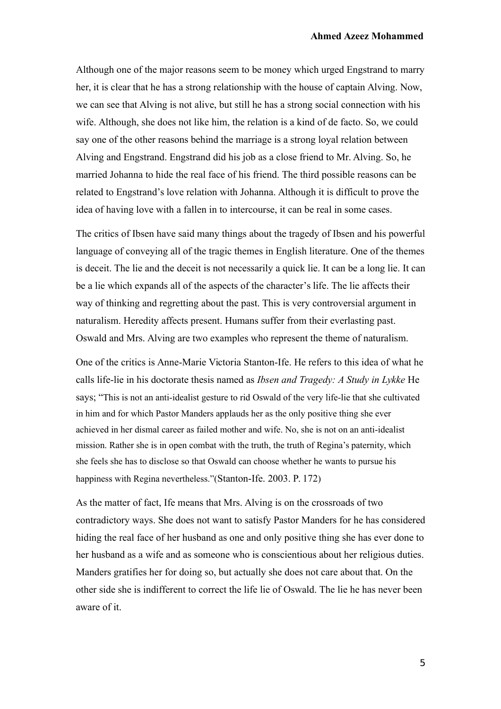Although one of the major reasons seem to be money which urged Engstrand to marry her, it is clear that he has a strong relationship with the house of captain Alving. Now, we can see that Alving is not alive, but still he has a strong social connection with his wife. Although, she does not like him, the relation is a kind of de facto. So, we could say one of the other reasons behind the marriage is a strong loyal relation between Alving and Engstrand. Engstrand did his job as a close friend to Mr. Alving. So, he married Johanna to hide the real face of his friend. The third possible reasons can be related to Engstrand's love relation with Johanna. Although it is difficult to prove the idea of having love with a fallen in to intercourse, it can be real in some cases.

The critics of Ibsen have said many things about the tragedy of Ibsen and his powerful language of conveying all of the tragic themes in English literature. One of the themes is deceit. The lie and the deceit is not necessarily a quick lie. It can be a long lie. It can be a lie which expands all of the aspects of the character's life. The lie affects their way of thinking and regretting about the past. This is very controversial argument in naturalism. Heredity affects present. Humans suffer from their everlasting past. Oswald and Mrs. Alving are two examples who represent the theme of naturalism.

One of the critics is Anne-Marie Victoria Stanton-Ife. He refers to this idea of what he calls life-lie in his doctorate thesis named as *Ibsen and Tragedy: A Study in Lykke* He says; "This is not an anti-idealist gesture to rid Oswald of the very life-lie that she cultivated in him and for which Pastor Manders applauds her as the only positive thing she ever achieved in her dismal career as failed mother and wife. No, she is not on an anti-idealist mission. Rather she is in open combat with the truth, the truth of Regina's paternity, which she feels she has to disclose so that Oswald can choose whether he wants to pursue his happiness with Regina nevertheless."(Stanton-Ife. 2003. P. 172)

As the matter of fact, Ife means that Mrs. Alving is on the crossroads of two contradictory ways. She does not want to satisfy Pastor Manders for he has considered hiding the real face of her husband as one and only positive thing she has ever done to her husband as a wife and as someone who is conscientious about her religious duties. Manders gratifies her for doing so, but actually she does not care about that. On the other side she is indifferent to correct the life lie of Oswald. The lie he has never been aware of it.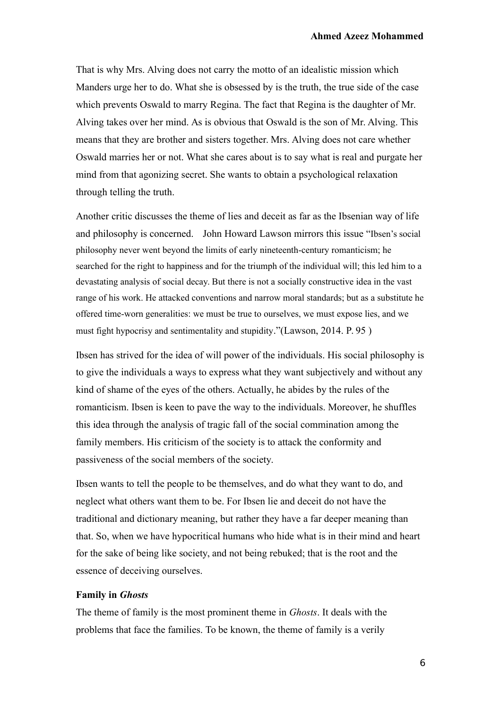That is why Mrs. Alving does not carry the motto of an idealistic mission which Manders urge her to do. What she is obsessed by is the truth, the true side of the case which prevents Oswald to marry Regina. The fact that Regina is the daughter of Mr. Alving takes over her mind. As is obvious that Oswald is the son of Mr. Alving. This means that they are brother and sisters together. Mrs. Alving does not care whether Oswald marries her or not. What she cares about is to say what is real and purgate her mind from that agonizing secret. She wants to obtain a psychological relaxation through telling the truth.

Another critic discusses the theme of lies and deceit as far as the Ibsenian way of life and philosophy is concerned. John Howard Lawson mirrors this issue "Ibsen's social philosophy never went beyond the limits of early nineteenth-century romanticism; he searched for the right to happiness and for the triumph of the individual will; this led him to a devastating analysis of social decay. But there is not a socially constructive idea in the vast range of his work. He attacked conventions and narrow moral standards; but as a substitute he offered time-worn generalities: we must be true to ourselves, we must expose lies, and we must fight hypocrisy and sentimentality and stupidity."(Lawson, 2014. P. 95 )

Ibsen has strived for the idea of will power of the individuals. His social philosophy is to give the individuals a ways to express what they want subjectively and without any kind of shame of the eyes of the others. Actually, he abides by the rules of the romanticism. Ibsen is keen to pave the way to the individuals. Moreover, he shuffles this idea through the analysis of tragic fall of the social commination among the family members. His criticism of the society is to attack the conformity and passiveness of the social members of the society.

Ibsen wants to tell the people to be themselves, and do what they want to do, and neglect what others want them to be. For Ibsen lie and deceit do not have the traditional and dictionary meaning, but rather they have a far deeper meaning than that. So, when we have hypocritical humans who hide what is in their mind and heart for the sake of being like society, and not being rebuked; that is the root and the essence of deceiving ourselves.

#### **Family in** *Ghosts*

The theme of family is the most prominent theme in *Ghosts*. It deals with the problems that face the families. To be known, the theme of family is a verily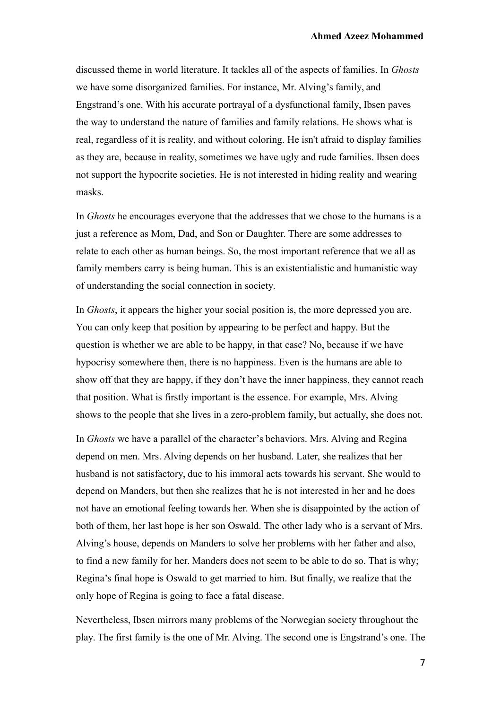discussed theme in world literature. It tackles all of the aspects of families. In *Ghosts* we have some disorganized families. For instance, Mr. Alving's family, and Engstrand's one. With his accurate portrayal of a dysfunctional family, Ibsen paves the way to understand the nature of families and family relations. He shows what is real, regardless of it is reality, and without coloring. He isn't afraid to display families as they are, because in reality, sometimes we have ugly and rude families. Ibsen does not support the hypocrite societies. He is not interested in hiding reality and wearing masks.

In *Ghosts* he encourages everyone that the addresses that we chose to the humans is a just a reference as Mom, Dad, and Son or Daughter. There are some addresses to relate to each other as human beings. So, the most important reference that we all as family members carry is being human. This is an existentialistic and humanistic way of understanding the social connection in society.

In *Ghosts*, it appears the higher your social position is, the more depressed you are. You can only keep that position by appearing to be perfect and happy. But the question is whether we are able to be happy, in that case? No, because if we have hypocrisy somewhere then, there is no happiness. Even is the humans are able to show off that they are happy, if they don't have the inner happiness, they cannot reach that position. What is firstly important is the essence. For example, Mrs. Alving shows to the people that she lives in a zero-problem family, but actually, she does not.

In *Ghosts* we have a parallel of the character's behaviors. Mrs. Alving and Regina depend on men. Mrs. Alving depends on her husband. Later, she realizes that her husband is not satisfactory, due to his immoral acts towards his servant. She would to depend on Manders, but then she realizes that he is not interested in her and he does not have an emotional feeling towards her. When she is disappointed by the action of both of them, her last hope is her son Oswald. The other lady who is a servant of Mrs. Alving's house, depends on Manders to solve her problems with her father and also, to find a new family for her. Manders does not seem to be able to do so. That is why; Regina's final hope is Oswald to get married to him. But finally, we realize that the only hope of Regina is going to face a fatal disease.

Nevertheless, Ibsen mirrors many problems of the Norwegian society throughout the play. The first family is the one of Mr. Alving. The second one is Engstrand's one. The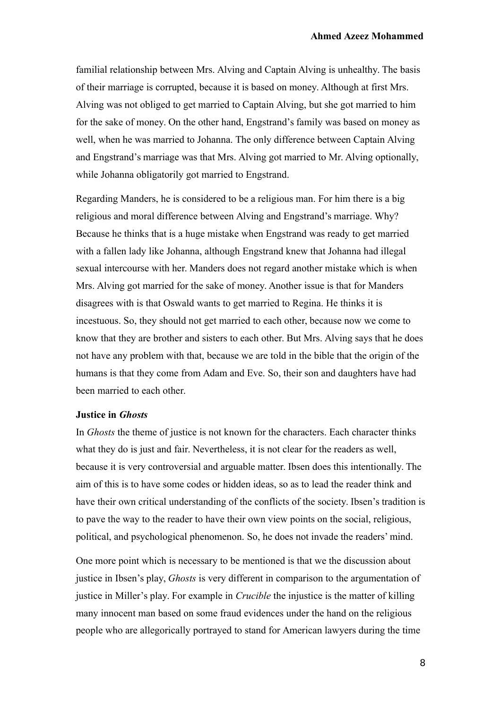familial relationship between Mrs. Alving and Captain Alving is unhealthy. The basis of their marriage is corrupted, because it is based on money. Although at first Mrs. Alving was not obliged to get married to Captain Alving, but she got married to him for the sake of money. On the other hand, Engstrand's family was based on money as well, when he was married to Johanna. The only difference between Captain Alving and Engstrand's marriage was that Mrs. Alving got married to Mr. Alving optionally, while Johanna obligatorily got married to Engstrand.

Regarding Manders, he is considered to be a religious man. For him there is a big religious and moral difference between Alving and Engstrand's marriage. Why? Because he thinks that is a huge mistake when Engstrand was ready to get married with a fallen lady like Johanna, although Engstrand knew that Johanna had illegal sexual intercourse with her. Manders does not regard another mistake which is when Mrs. Alving got married for the sake of money. Another issue is that for Manders disagrees with is that Oswald wants to get married to Regina. He thinks it is incestuous. So, they should not get married to each other, because now we come to know that they are brother and sisters to each other. But Mrs. Alving says that he does not have any problem with that, because we are told in the bible that the origin of the humans is that they come from Adam and Eve. So, their son and daughters have had been married to each other.

# **Justice in** *Ghosts*

In *Ghosts* the theme of justice is not known for the characters. Each character thinks what they do is just and fair. Nevertheless, it is not clear for the readers as well, because it is very controversial and arguable matter. Ibsen does this intentionally. The aim of this is to have some codes or hidden ideas, so as to lead the reader think and have their own critical understanding of the conflicts of the society. Ibsen's tradition is to pave the way to the reader to have their own view points on the social, religious, political, and psychological phenomenon. So, he does not invade the readers' mind.

One more point which is necessary to be mentioned is that we the discussion about justice in Ibsen's play, *Ghosts* is very different in comparison to the argumentation of justice in Miller's play. For example in *Crucible* the injustice is the matter of killing many innocent man based on some fraud evidences under the hand on the religious people who are allegorically portrayed to stand for American lawyers during the time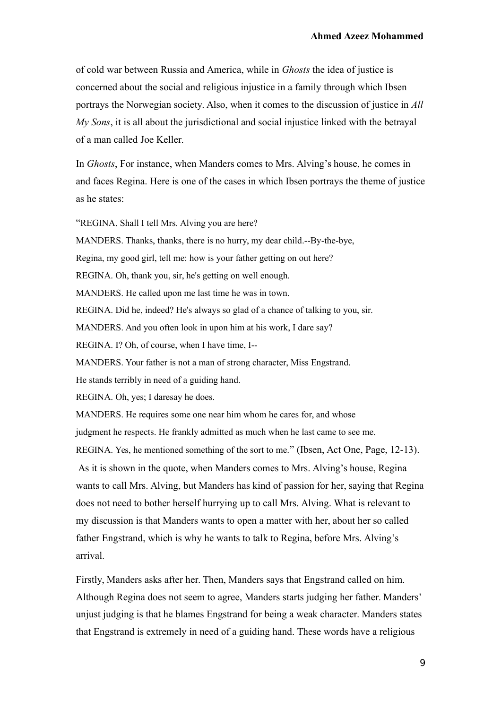of cold war between Russia and America, while in *Ghosts* the idea of justice is concerned about the social and religious injustice in a family through which Ibsen portrays the Norwegian society. Also, when it comes to the discussion of justice in *All My Sons*, it is all about the jurisdictional and social injustice linked with the betrayal of a man called Joe Keller.

In *Ghosts*, For instance, when Manders comes to Mrs. Alving's house, he comes in and faces Regina. Here is one of the cases in which Ibsen portrays the theme of justice as he states:

"REGINA. Shall I tell Mrs. Alving you are here?

MANDERS. Thanks, thanks, there is no hurry, my dear child.--By-the-bye,

Regina, my good girl, tell me: how is your father getting on out here?

REGINA. Oh, thank you, sir, he's getting on well enough.

MANDERS. He called upon me last time he was in town.

REGINA. Did he, indeed? He's always so glad of a chance of talking to you, sir.

MANDERS. And you often look in upon him at his work, I dare say?

REGINA. I? Oh, of course, when I have time, I--

MANDERS. Your father is not a man of strong character, Miss Engstrand.

He stands terribly in need of a guiding hand.

REGINA. Oh, yes; I daresay he does.

MANDERS. He requires some one near him whom he cares for, and whose

judgment he respects. He frankly admitted as much when he last came to see me.

REGINA. Yes, he mentioned something of the sort to me." (Ibsen, Act One, Page, 12-13).

 As it is shown in the quote, when Manders comes to Mrs. Alving's house, Regina wants to call Mrs. Alving, but Manders has kind of passion for her, saying that Regina does not need to bother herself hurrying up to call Mrs. Alving. What is relevant to my discussion is that Manders wants to open a matter with her, about her so called father Engstrand, which is why he wants to talk to Regina, before Mrs. Alving's arrival.

Firstly, Manders asks after her. Then, Manders says that Engstrand called on him. Although Regina does not seem to agree, Manders starts judging her father. Manders' unjust judging is that he blames Engstrand for being a weak character. Manders states that Engstrand is extremely in need of a guiding hand. These words have a religious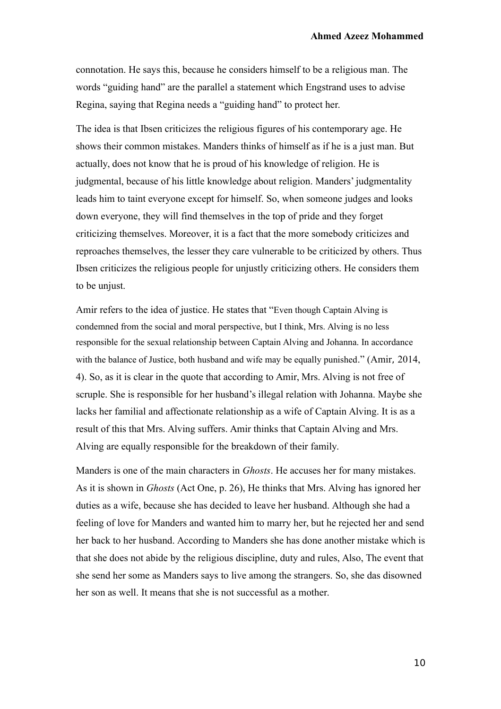connotation. He says this, because he considers himself to be a religious man. The words "guiding hand" are the parallel a statement which Engstrand uses to advise Regina, saying that Regina needs a "guiding hand" to protect her.

The idea is that Ibsen criticizes the religious figures of his contemporary age. He shows their common mistakes. Manders thinks of himself as if he is a just man. But actually, does not know that he is proud of his knowledge of religion. He is judgmental, because of his little knowledge about religion. Manders' judgmentality leads him to taint everyone except for himself. So, when someone judges and looks down everyone, they will find themselves in the top of pride and they forget criticizing themselves. Moreover, it is a fact that the more somebody criticizes and reproaches themselves, the lesser they care vulnerable to be criticized by others. Thus Ibsen criticizes the religious people for unjustly criticizing others. He considers them to be unjust.

Amir refers to the idea of justice. He states that "Even though Captain Alving is condemned from the social and moral perspective, but I think, Mrs. Alving is no less responsible for the sexual relationship between Captain Alving and Johanna. In accordance with the balance of Justice, both husband and wife may be equally punished." (Amir, 2014, 4). So, as it is clear in the quote that according to Amir, Mrs. Alving is not free of scruple. She is responsible for her husband's illegal relation with Johanna. Maybe she lacks her familial and affectionate relationship as a wife of Captain Alving. It is as a result of this that Mrs. Alving suffers. Amir thinks that Captain Alving and Mrs. Alving are equally responsible for the breakdown of their family.

Manders is one of the main characters in *Ghosts*. He accuses her for many mistakes. As it is shown in *Ghosts* (Act One, p. 26), He thinks that Mrs. Alving has ignored her duties as a wife, because she has decided to leave her husband. Although she had a feeling of love for Manders and wanted him to marry her, but he rejected her and send her back to her husband. According to Manders she has done another mistake which is that she does not abide by the religious discipline, duty and rules, Also, The event that she send her some as Manders says to live among the strangers. So, she das disowned her son as well. It means that she is not successful as a mother.

10